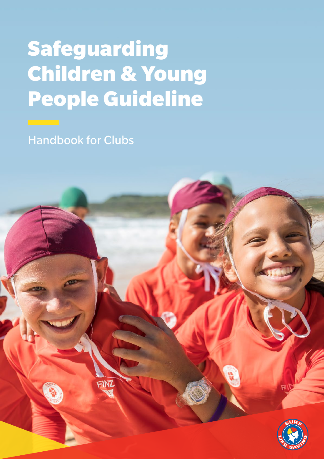# Safeguarding Children & Young People Guideline

Handbook for Clubs

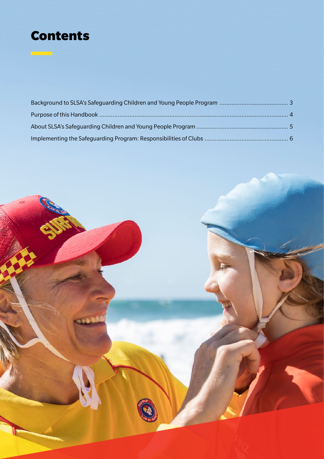# Contents

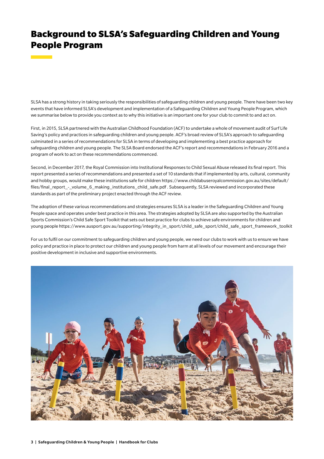# Background to SLSA's Safeguarding Children and Young People Program

SLSA has a strong history in taking seriously the responsibilities of safeguarding children and young people. There have been two key events that have informed SLSA's development and implementation of a Safeguarding Children and Young People Program, which we summarise below to provide you context as to why this initiative is an important one for your club to commit to and act on.

First, in 2015, SLSA partnered with the Australian Childhood Foundation (ACF) to undertake a whole of movement audit of Surf Life Saving's policy and practices in safeguarding children and young people. ACF's broad review of SLSA's approach to safeguarding culminated in a series of recommendations for SLSA in terms of developing and implementing a best practice approach for safeguarding children and young people. The SLSA Board endorsed the ACF's report and recommendations in February 2016 and a program of work to act on these recommendations commenced.

Second, in December 2017, the Royal Commission into Institutional Responses to Child Sexual Abuse released its final report. This report presented a series of recommendations and presented a set of 10 standards that if implemented by arts, cultural, community and hobby groups, would make these institutions safe for children https://www.childabuseroyalcommission.gov.au/sites/default/ files/final\_report\_-\_volume\_6\_making\_institutions\_child\_safe.pdf . Subsequently, SLSA reviewed and incorporated these standards as part of the preliminary project enacted through the ACF review.

The adoption of these various recommendations and strategies ensures SLSA is a leader in the Safeguarding Children and Young People space and operates under best practice in this area. The strategies adopted by SLSA are also supported by the Australian Sports Commission's Child Safe Sport Toolkit that sets out best practice for clubs to achieve safe environments for children and young people https://www.ausport.gov.au/supporting/integrity\_in\_sport/child\_safe\_sport/child\_safe\_sport\_framework\_toolkit

For us to fulfil on our commitment to safeguarding children and young people, we need our clubs to work with us to ensure we have policy and practice in place to protect our children and young people from harm at all levels of our movement and encourage their positive development in inclusive and supportive environments.

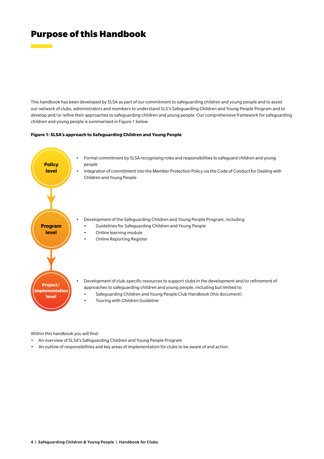### Purpose of this Handbook

**Contract Contract** 

This handbook has been developed by SLSA as part of our commitment to safeguarding children and young people and to assist our network of clubs, administrators and members to understand SLS's Safeguarding Children and Young People Program and to develop and/or refine their approaches to safeguarding children and young people. Our comprehensive framework for safeguarding children and young people is summarised in Figure 1 below.

#### **Figure 1: SLSA's approach to Safeguarding Children and Young People**



Within this handbook you will find:

- An overview of SLSA's Safeguarding Children and Young People Program
- An outline of responsibilities and key areas of implementation for clubs to be aware of and action.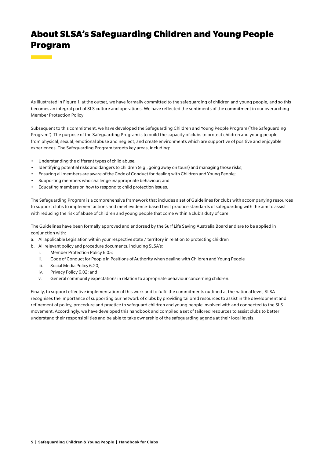# About SLSA's Safeguarding Children and Young People Program

As illustrated in Figure 1, at the outset, we have formally committed to the safeguarding of children and young people, and so this becomes an integral part of SLS culture and operations. We have reflected the sentiments of the commitment in our overarching Member Protection Policy.

Subsequent to this commitment, we have developed the Safeguarding Children and Young People Program ('the Safeguarding Program'). The purpose of the Safeguarding Program is to build the capacity of clubs to protect children and young people from physical, sexual, emotional abuse and neglect, and create environments which are supportive of positive and enjoyable experiences. The Safeguarding Program targets key areas, including:

- Understanding the different types of child abuse;
- Identifying potential risks and dangers to children (e.g., going away on tours) and managing those risks;
- Ensuring all members are aware of the Code of Conduct for dealing with Children and Young People;
- Supporting members who challenge inappropriate behaviour; and
- Educating members on how to respond to child protection issues.

The Safeguarding Program is a comprehensive framework that includes a set of Guidelines for clubs with accompanying resources to support clubs to implement actions and meet evidence-based best practice standards of safeguarding with the aim to assist with reducing the risk of abuse of children and young people that come within a club's duty of care.

The Guidelines have been formally approved and endorsed by the Surf Life Saving Australia Board and are to be applied in conjunction with:

- a. All applicable Legislation within your respective state / territory in relation to protecting children
- b. All relevant policy and procedure documents, including SLSA's:
	- i. Member Protection Policy 6.05;
	- ii. Code of Conduct for People in Positions of Authority when dealing with Children and Young People
	- iii. Social Media Policy 6.20;
	- iv. Privacy Policy 6.02; and
	- v. General community expectations in relation to appropriate behaviour concerning children.

Finally, to support effective implementation of this work and to fulfil the commitments outlined at the national level, SLSA recognises the importance of supporting our network of clubs by providing tailored resources to assist in the development and refinement of policy, procedure and practice to safeguard children and young people involved with and connected to the SLS movement. Accordingly, we have developed this handbook and compiled a set of tailored resources to assist clubs to better understand their responsibilities and be able to take ownership of the safeguarding agenda at their local levels.